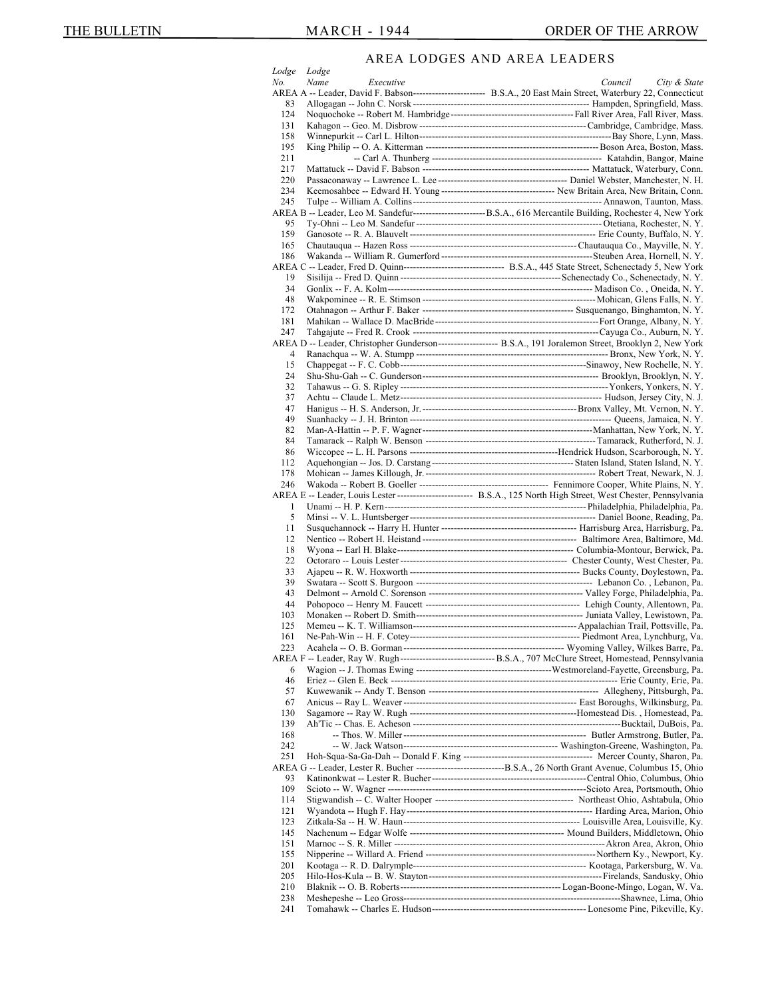## AREA LODGES AND AREA LEADERS

|                |                   | ODOLS AND ARLA LLADLRS                                                                                               |
|----------------|-------------------|----------------------------------------------------------------------------------------------------------------------|
| Lodge          | Lodge             |                                                                                                                      |
| No.            | Name<br>Executive | Council<br>City & State                                                                                              |
|                |                   | AREA A -- Leader, David F. Babson----------------------- B.S.A., 20 East Main Street, Waterbury 22, Connecticut      |
| 83             |                   |                                                                                                                      |
| 124            |                   |                                                                                                                      |
| 131            |                   |                                                                                                                      |
| 158            |                   |                                                                                                                      |
| 195            |                   |                                                                                                                      |
|                |                   |                                                                                                                      |
| 211            |                   |                                                                                                                      |
| 217            |                   |                                                                                                                      |
| 220            |                   |                                                                                                                      |
| 234            |                   |                                                                                                                      |
| 245            |                   |                                                                                                                      |
|                |                   | AREA B -- Leader, Leo M. Sandefur-----------------------------B.S.A., 616 Mercantile Building, Rochester 4, New York |
| 95             |                   |                                                                                                                      |
|                |                   |                                                                                                                      |
| 159            |                   |                                                                                                                      |
| 165            |                   |                                                                                                                      |
| 186            |                   |                                                                                                                      |
|                |                   | AREA C -- Leader, Fred D. Quinn--------------------------------- B.S.A., 445 State Street, Schenectady 5, New York   |
| 19             |                   |                                                                                                                      |
| 34             |                   |                                                                                                                      |
| 48             |                   |                                                                                                                      |
|                |                   |                                                                                                                      |
| 172            |                   |                                                                                                                      |
| 181            |                   |                                                                                                                      |
| 247            |                   |                                                                                                                      |
|                |                   | AREA D -- Leader, Christopher Gunderson-------------------- B.S.A., 191 Joralemon Street, Brooklyn 2, New York       |
| $\overline{4}$ |                   |                                                                                                                      |
| 15             |                   |                                                                                                                      |
| 24             |                   |                                                                                                                      |
|                |                   |                                                                                                                      |
| 32             |                   |                                                                                                                      |
| 37             |                   |                                                                                                                      |
| 47             |                   |                                                                                                                      |
| 49             |                   |                                                                                                                      |
| 82             |                   |                                                                                                                      |
| 84             |                   |                                                                                                                      |
| 86             |                   |                                                                                                                      |
|                |                   |                                                                                                                      |
| 112            |                   |                                                                                                                      |
| 178            |                   |                                                                                                                      |
| 246            |                   |                                                                                                                      |
|                |                   |                                                                                                                      |
|                |                   | AREA E -- Leader, Louis Lester ------------------------- B.S.A., 125 North High Street, West Chester, Pennsylvania   |
| 1              |                   |                                                                                                                      |
|                |                   |                                                                                                                      |
| 5              |                   |                                                                                                                      |
| 11             |                   |                                                                                                                      |
| 12             |                   |                                                                                                                      |
| 18             |                   |                                                                                                                      |
| 22             |                   |                                                                                                                      |
| 33             |                   |                                                                                                                      |
| 39             |                   |                                                                                                                      |
|                |                   |                                                                                                                      |
| 43             |                   |                                                                                                                      |
| 44             |                   |                                                                                                                      |
| 103            |                   |                                                                                                                      |
| 125            |                   |                                                                                                                      |
| 161            |                   |                                                                                                                      |
| 223            |                   |                                                                                                                      |
|                |                   |                                                                                                                      |
|                |                   |                                                                                                                      |
| 6              |                   |                                                                                                                      |
| 46             |                   |                                                                                                                      |
| 57             |                   |                                                                                                                      |
| 67             |                   |                                                                                                                      |
| 130            |                   |                                                                                                                      |
| 139            |                   |                                                                                                                      |
| 168            |                   |                                                                                                                      |
| 242            |                   |                                                                                                                      |
|                |                   |                                                                                                                      |
| 251            |                   |                                                                                                                      |
|                |                   |                                                                                                                      |
| 93             |                   |                                                                                                                      |
| 109            |                   |                                                                                                                      |
| 114            |                   |                                                                                                                      |
| 121            |                   |                                                                                                                      |
| 123            |                   |                                                                                                                      |
|                |                   |                                                                                                                      |
| 145            |                   |                                                                                                                      |
| 151            |                   |                                                                                                                      |
| 155            |                   |                                                                                                                      |
| 201            |                   |                                                                                                                      |
| 205            |                   |                                                                                                                      |
| 210            |                   |                                                                                                                      |
| 238            |                   |                                                                                                                      |
| 241            |                   |                                                                                                                      |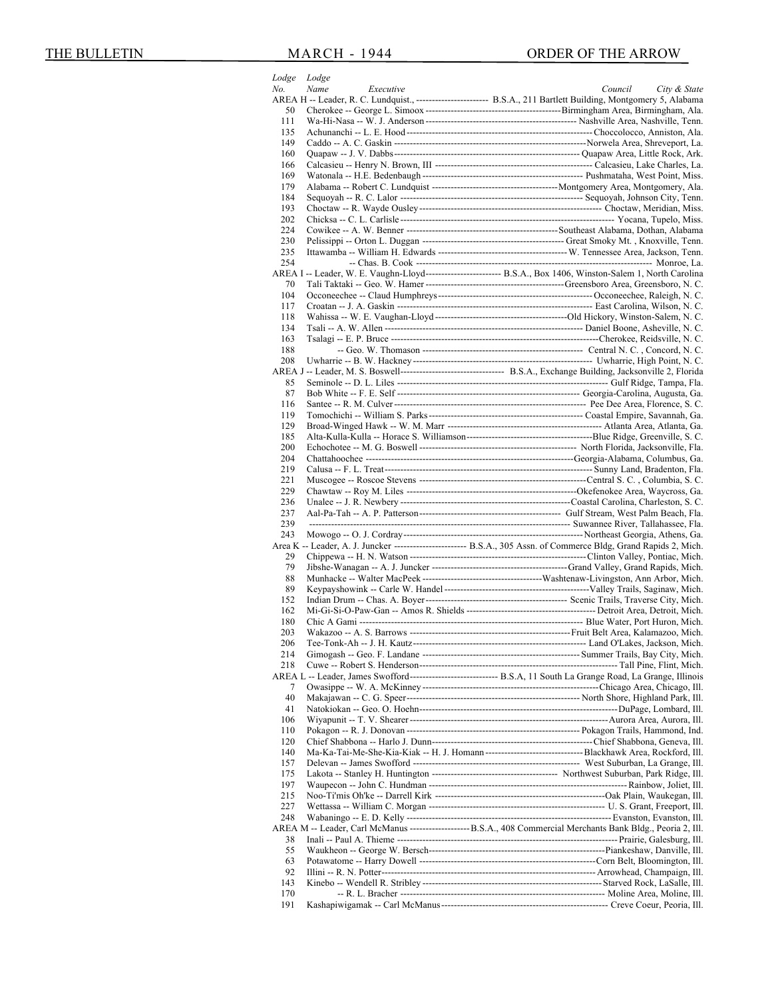|            | Lodge Lodge       |                                                                                                                                                |
|------------|-------------------|------------------------------------------------------------------------------------------------------------------------------------------------|
| No.        | Name<br>Executive | City & State<br>Council<br>AREA H -- Leader, R. C. Lundquist., -------------------------- B.S.A., 211 Bartlett Building, Montgomery 5, Alabama |
| 50         |                   |                                                                                                                                                |
| 111        |                   |                                                                                                                                                |
| 135        |                   |                                                                                                                                                |
| 149        |                   |                                                                                                                                                |
| 160        |                   |                                                                                                                                                |
| 166        |                   |                                                                                                                                                |
| 169<br>179 |                   |                                                                                                                                                |
| 184        |                   |                                                                                                                                                |
| 193        |                   |                                                                                                                                                |
| 202        |                   |                                                                                                                                                |
| 224        |                   |                                                                                                                                                |
| 230        |                   |                                                                                                                                                |
| 235        |                   |                                                                                                                                                |
| 254        |                   | AREA I -- Leader, W. E. Vaughn-Lloyd-------------------------- B.S.A., Box 1406, Winston-Salem 1, North Carolina                               |
| 70         |                   |                                                                                                                                                |
| 104        |                   |                                                                                                                                                |
| 117        |                   |                                                                                                                                                |
| 118        |                   |                                                                                                                                                |
| 134        |                   |                                                                                                                                                |
| 163        |                   |                                                                                                                                                |
| 188        |                   |                                                                                                                                                |
| 208        |                   |                                                                                                                                                |
| 85         |                   |                                                                                                                                                |
| 87         |                   |                                                                                                                                                |
| 116        |                   |                                                                                                                                                |
| 119        |                   |                                                                                                                                                |
| 129        |                   |                                                                                                                                                |
| 185        |                   |                                                                                                                                                |
| 200        |                   |                                                                                                                                                |
| 204<br>219 |                   |                                                                                                                                                |
| 221        |                   |                                                                                                                                                |
| 229        |                   |                                                                                                                                                |
| 236        |                   |                                                                                                                                                |
| 237        |                   |                                                                                                                                                |
| 239        |                   |                                                                                                                                                |
| 243        |                   |                                                                                                                                                |
|            |                   | Area K -- Leader, A. J. Juncker ------------------------- B.S.A., 305 Assn. of Commerce Bldg, Grand Rapids 2, Mich.                            |
| 29<br>79   |                   |                                                                                                                                                |
| 88         |                   |                                                                                                                                                |
| 89         |                   |                                                                                                                                                |
| 152        |                   |                                                                                                                                                |
| 162        |                   |                                                                                                                                                |
| 180        |                   |                                                                                                                                                |
| 203        |                   |                                                                                                                                                |
| 206        |                   |                                                                                                                                                |
| 214<br>218 |                   |                                                                                                                                                |
|            |                   | AREA L -- Leader, James Swofford------------------------------- B.S.A, 11 South La Grange Road, La Grange, Illinois                            |
| 7          |                   |                                                                                                                                                |
| 40         |                   |                                                                                                                                                |
| 41         |                   |                                                                                                                                                |
| 106        |                   |                                                                                                                                                |
| 110        |                   |                                                                                                                                                |
| 120        |                   |                                                                                                                                                |
| 140        |                   |                                                                                                                                                |
| 157<br>175 |                   |                                                                                                                                                |
| 197        |                   |                                                                                                                                                |
| 215        |                   |                                                                                                                                                |
| 227        |                   |                                                                                                                                                |
| 248        |                   |                                                                                                                                                |
|            |                   | AREA M -- Leader, Carl McManus -----------------------B.S.A., 408 Commercial Merchants Bank Bldg., Peoria 2, Ill.                              |
| 38         |                   |                                                                                                                                                |
| 55         |                   |                                                                                                                                                |
| 63         |                   |                                                                                                                                                |
| 92         |                   |                                                                                                                                                |
| 143        |                   |                                                                                                                                                |
| 170<br>191 |                   |                                                                                                                                                |
|            |                   |                                                                                                                                                |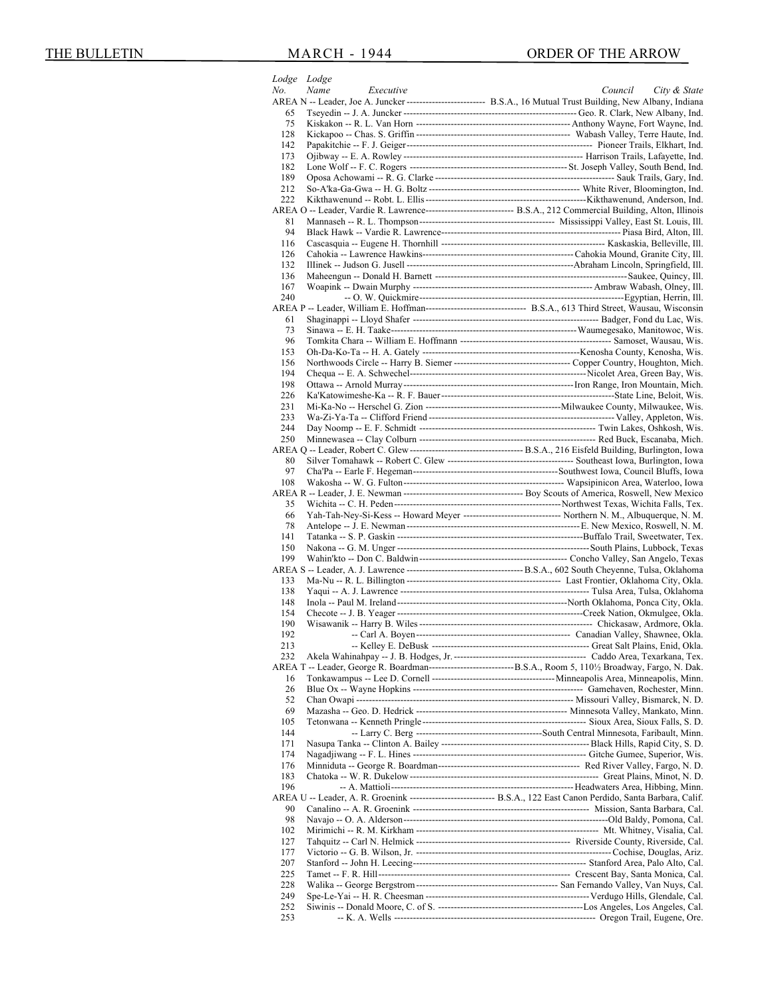|            | Lodge Lodge       |                                                                                                                        |
|------------|-------------------|------------------------------------------------------------------------------------------------------------------------|
| No.        | Name<br>Executive | City & State<br>Council                                                                                                |
|            |                   | AREA N -- Leader, Joe A. Juncker ------------------------- B.S.A., 16 Mutual Trust Building, New Albany, Indiana       |
| 65         |                   |                                                                                                                        |
| 75         |                   |                                                                                                                        |
| 128<br>142 |                   |                                                                                                                        |
| 173        |                   |                                                                                                                        |
| 182        |                   |                                                                                                                        |
| 189        |                   |                                                                                                                        |
| 212        |                   |                                                                                                                        |
| 222        |                   |                                                                                                                        |
|            |                   | AREA O -- Leader, Vardie R. Lawrence--------------------------------- B.S.A., 212 Commercial Building, Alton, Illinois |
| 81         |                   |                                                                                                                        |
| 94         |                   |                                                                                                                        |
| 116        |                   |                                                                                                                        |
| 126        |                   |                                                                                                                        |
| 132        |                   |                                                                                                                        |
| 136        |                   |                                                                                                                        |
| 167        |                   |                                                                                                                        |
| 240        |                   |                                                                                                                        |
|            |                   | AREA P -- Leader, William E. Hoffman---------------------------------- B.S.A., 613 Third Street, Wausau, Wisconsin     |
| 61         |                   |                                                                                                                        |
| 73         |                   |                                                                                                                        |
| 96<br>153  |                   |                                                                                                                        |
| 156        |                   |                                                                                                                        |
| 194        |                   |                                                                                                                        |
| 198        |                   |                                                                                                                        |
| 226        |                   |                                                                                                                        |
| 231        |                   |                                                                                                                        |
| 233        |                   |                                                                                                                        |
| 244        |                   |                                                                                                                        |
| 250        |                   |                                                                                                                        |
|            |                   |                                                                                                                        |
| 80         |                   |                                                                                                                        |
| 97         |                   |                                                                                                                        |
| 108        |                   |                                                                                                                        |
|            |                   |                                                                                                                        |
| 35         |                   |                                                                                                                        |
| 66         |                   | Yah-Tah-Ney-Si-Kess -- Howard Meyer -------------------------------- Northern N. M., Albuquerque, N. M.                |
| 78         |                   |                                                                                                                        |
| 141        |                   |                                                                                                                        |
| 150        |                   |                                                                                                                        |
| 199        |                   |                                                                                                                        |
| 133        |                   |                                                                                                                        |
| 138        |                   |                                                                                                                        |
| 148        |                   |                                                                                                                        |
| 154        |                   |                                                                                                                        |
| 190        |                   |                                                                                                                        |
| 192        |                   |                                                                                                                        |
| 213        |                   |                                                                                                                        |
| 232        |                   |                                                                                                                        |
|            |                   |                                                                                                                        |
| 16         |                   |                                                                                                                        |
| 26         |                   |                                                                                                                        |
| 52         |                   |                                                                                                                        |
| 69         |                   |                                                                                                                        |
| 105        |                   |                                                                                                                        |
| 144        |                   |                                                                                                                        |
| 171        |                   |                                                                                                                        |
| 174        |                   |                                                                                                                        |
| 176<br>183 |                   |                                                                                                                        |
| 196        |                   |                                                                                                                        |
|            |                   | AREA U -- Leader, A. R. Groenink ----------------------------- B.S.A., 122 East Canon Perdido, Santa Barbara, Calif.   |
| 90         |                   |                                                                                                                        |
| 98         |                   |                                                                                                                        |
| 102        |                   |                                                                                                                        |
| 127        |                   |                                                                                                                        |
|            |                   |                                                                                                                        |
| 177        |                   |                                                                                                                        |
| 207        |                   |                                                                                                                        |
| 225        |                   |                                                                                                                        |
| 228        |                   |                                                                                                                        |
| 249        |                   |                                                                                                                        |
| 252<br>253 |                   |                                                                                                                        |